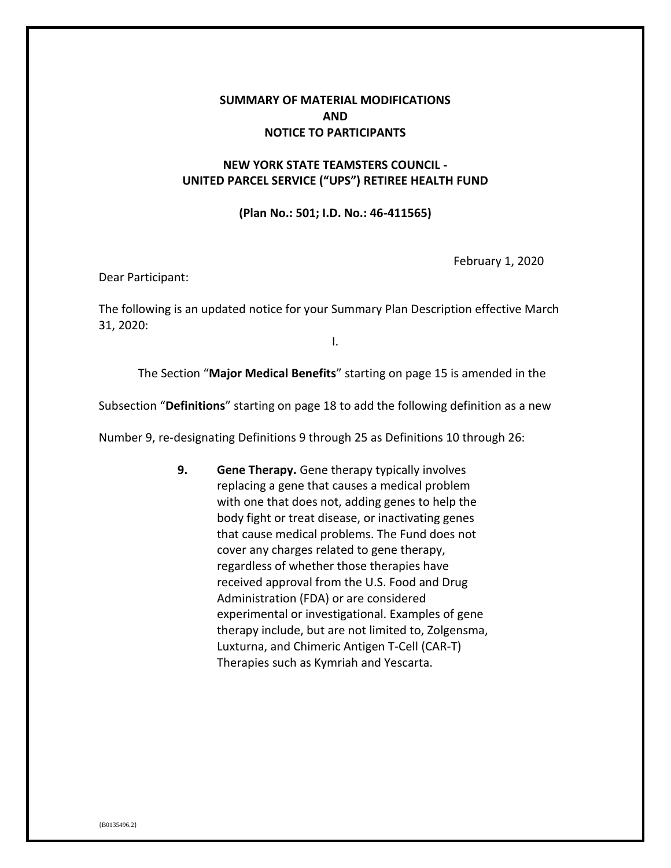## **SUMMARY OF MATERIAL MODIFICATIONS AND NOTICE TO PARTICIPANTS**

## **NEW YORK STATE TEAMSTERS COUNCIL - UNITED PARCEL SERVICE ("UPS") RETIREE HEALTH FUND**

## **(Plan No.: 501; I.D. No.: 46-411565)**

February 1, 2020

Dear Participant:

The following is an updated notice for your Summary Plan Description effective March 31, 2020:

I.

The Section "**Major Medical Benefits**" starting on page 15 is amended in the

Subsection "**Definitions**" starting on page 18 to add the following definition as a new

Number 9, re-designating Definitions 9 through 25 as Definitions 10 through 26:

**9. Gene Therapy.** Gene therapy typically involves replacing a gene that causes a medical problem with one that does not, adding genes to help the body fight or treat disease, or inactivating genes that cause medical problems. The Fund does not cover any charges related to gene therapy, regardless of whether those therapies have received approval from the U.S. Food and Drug Administration (FDA) or are considered experimental or investigational. Examples of gene therapy include, but are not limited to, Zolgensma, Luxturna, and Chimeric Antigen T-Cell (CAR-T) Therapies such as Kymriah and Yescarta.